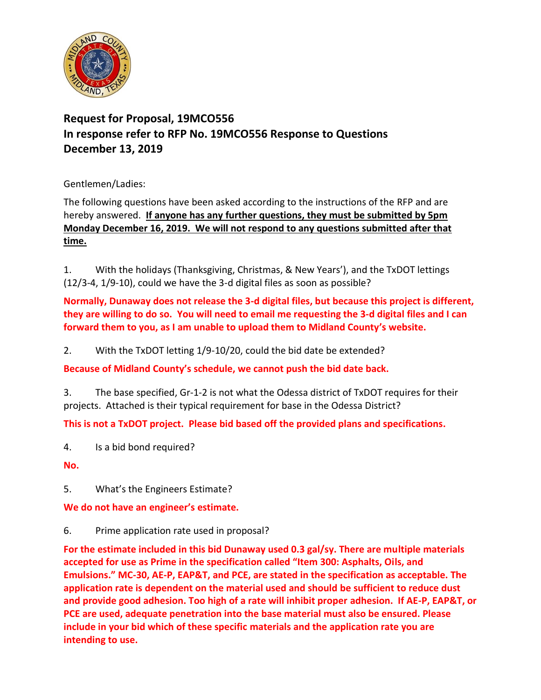

## **Request for Proposal, 19MCO556 In response refer to RFP No. 19MCO556 Response to Questions December 13, 2019**

Gentlemen/Ladies:

The following questions have been asked according to the instructions of the RFP and are hereby answered. **If anyone has any further questions, they must be submitted by 5pm Monday December 16, 2019. We will not respond to any questions submitted after that time.**

1. With the holidays (Thanksgiving, Christmas, & New Years'), and the TxDOT lettings (12/3-4, 1/9-10), could we have the 3-d digital files as soon as possible?

**Normally, Dunaway does not release the 3-d digital files, but because this project is different, they are willing to do so. You will need to email me requesting the 3-d digital files and I can forward them to you, as I am unable to upload them to Midland County's website.**

2. With the TxDOT letting 1/9-10/20, could the bid date be extended?

**Because of Midland County's schedule, we cannot push the bid date back.** 

3. The base specified, Gr-1-2 is not what the Odessa district of TxDOT requires for their projects. Attached is their typical requirement for base in the Odessa District?

**This is not a TxDOT project. Please bid based off the provided plans and specifications.** 

4. Is a bid bond required?

**No.**

5. What's the Engineers Estimate?

**We do not have an engineer's estimate.** 

6. Prime application rate used in proposal?

**For the estimate included in this bid Dunaway used 0.3 gal/sy. There are multiple materials accepted for use as Prime in the specification called "Item 300: Asphalts, Oils, and Emulsions." MC-30, AE-P, EAP&T, and PCE, are stated in the specification as acceptable. The application rate is dependent on the material used and should be sufficient to reduce dust and provide good adhesion. Too high of a rate will inhibit proper adhesion. If AE-P, EAP&T, or PCE are used, adequate penetration into the base material must also be ensured. Please include in your bid which of these specific materials and the application rate you are intending to use.**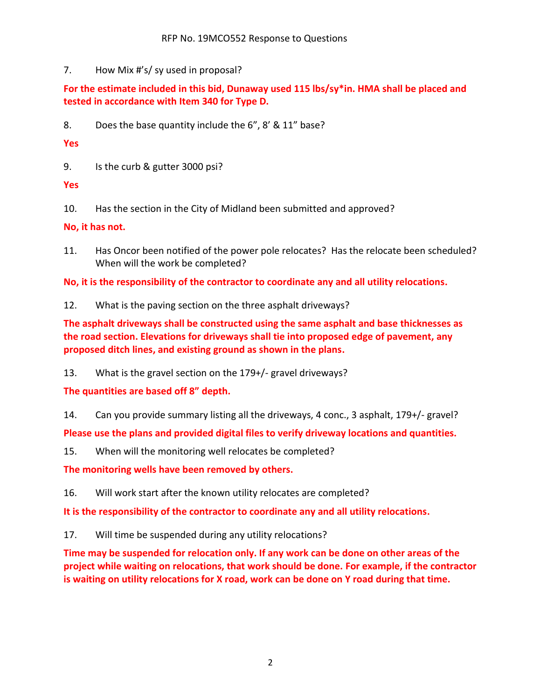7. How Mix #'s/ sy used in proposal?

**For the estimate included in this bid, Dunaway used 115 lbs/sy\*in. HMA shall be placed and tested in accordance with Item 340 for Type D.**

8. Does the base quantity include the 6", 8' & 11" base?

**Yes**

9. Is the curb & gutter 3000 psi?

**Yes**

10. Has the section in the City of Midland been submitted and approved?

**No, it has not.**

11. Has Oncor been notified of the power pole relocates? Has the relocate been scheduled? When will the work be completed?

**No, it is the responsibility of the contractor to coordinate any and all utility relocations.**

12. What is the paving section on the three asphalt driveways?

**The asphalt driveways shall be constructed using the same asphalt and base thicknesses as the road section. Elevations for driveways shall tie into proposed edge of pavement, any proposed ditch lines, and existing ground as shown in the plans.**

13. What is the gravel section on the 179+/- gravel driveways?

**The quantities are based off 8" depth.**

14. Can you provide summary listing all the driveways, 4 conc., 3 asphalt, 179+/- gravel?

**Please use the plans and provided digital files to verify driveway locations and quantities.**

15. When will the monitoring well relocates be completed?

**The monitoring wells have been removed by others.**

16. Will work start after the known utility relocates are completed?

**It is the responsibility of the contractor to coordinate any and all utility relocations.**

17. Will time be suspended during any utility relocations?

**Time may be suspended for relocation only. If any work can be done on other areas of the project while waiting on relocations, that work should be done. For example, if the contractor is waiting on utility relocations for X road, work can be done on Y road during that time.**